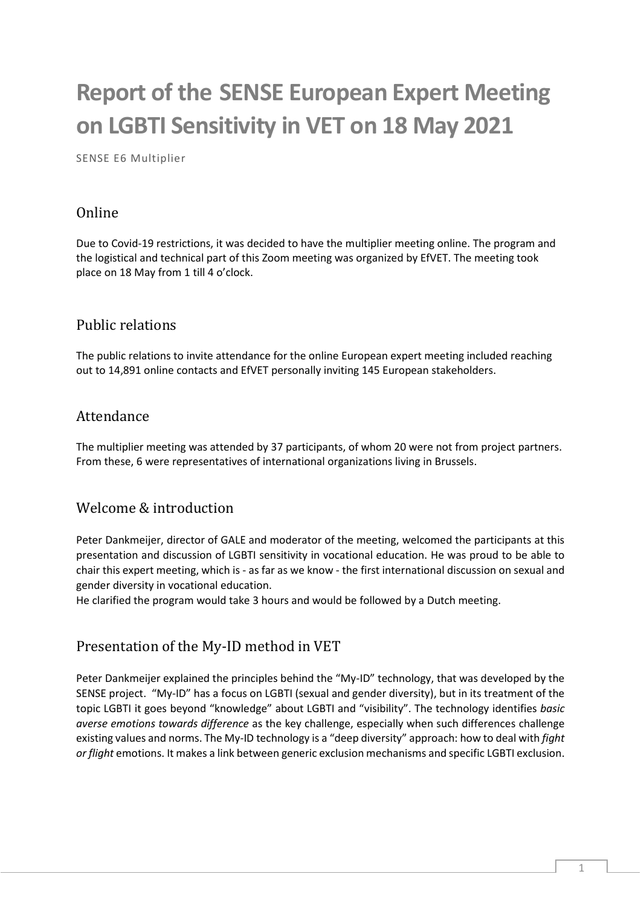# **Report of the SENSE European Expert Meeting on LGBTI Sensitivity in VET on 18 May 2021**

SENSE E6 Multiplier

## Online

Due to Covid-19 restrictions, it was decided to have the multiplier meeting online. The program and the logistical and technical part of this Zoom meeting was organized by EfVET. The meeting took place on 18 May from 1 till 4 o'clock.

## Public relations

The public relations to invite attendance for the online European expert meeting included reaching out to 14,891 online contacts and EfVET personally inviting 145 European stakeholders.

#### Attendance

The multiplier meeting was attended by 37 participants, of whom 20 were not from project partners. From these, 6 were representatives of international organizations living in Brussels.

#### Welcome & introduction

Peter Dankmeijer, director of GALE and moderator of the meeting, welcomed the participants at this presentation and discussion of LGBTI sensitivity in vocational education. He was proud to be able to chair this expert meeting, which is - as far as we know - the first international discussion on sexual and gender diversity in vocational education.

He clarified the program would take 3 hours and would be followed by a Dutch meeting.

## Presentation of the My-ID method in VET

Peter Dankmeijer explained the principles behind the "My-ID" technology, that was developed by the SENSE project. "My-ID" has a focus on LGBTI (sexual and gender diversity), but in its treatment of the topic LGBTI it goes beyond "knowledge" about LGBTI and "visibility". The technology identifies *basic averse emotions towards difference* as the key challenge, especially when such differences challenge existing values and norms. The My-ID technology is a "deep diversity" approach: how to deal with *fight or flight* emotions. It makes a link between generic exclusion mechanisms and specific LGBTI exclusion.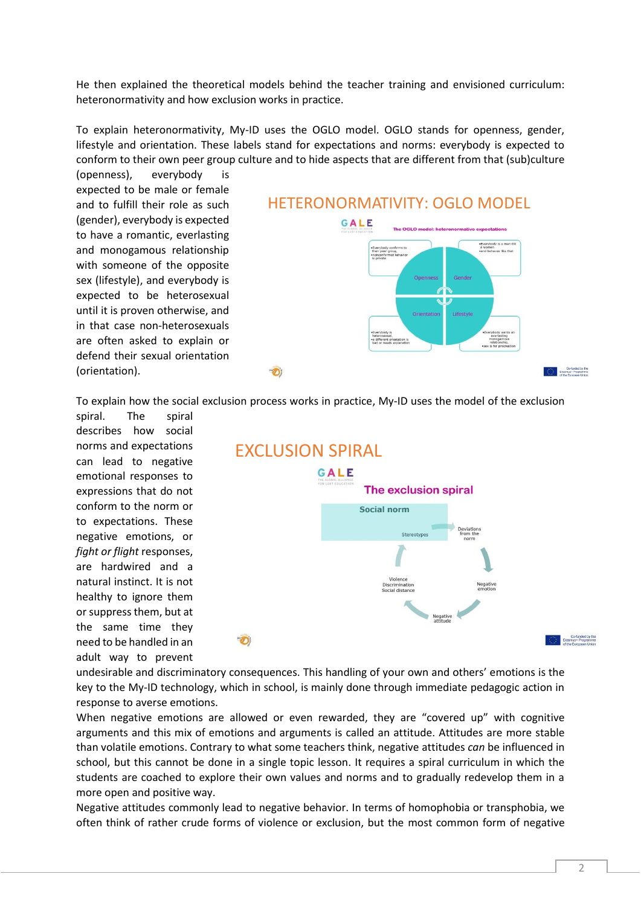He then explained the theoretical models behind the teacher training and envisioned curriculum: heteronormativity and how exclusion works in practice.

To explain heteronormativity, My-ID uses the OGLO model. OGLO stands for openness, gender, lifestyle and orientation. These labels stand for expectations and norms: everybody is expected to conform to their own peer group culture and to hide aspects that are different from that (sub)culture

(openness), everybody is expected to be male or female and to fulfill their role as such (gender), everybody is expected to have a romantic, everlasting and monogamous relationship with someone of the opposite sex (lifestyle), and everybody is expected to be heterosexual until it is proven otherwise, and in that case non-heterosexuals are often asked to explain or defend their sexual orientation (orientation).



To explain how the social exclusion process works in practice, My-ID uses the model of the exclusion

spiral. The spiral describes how social norms and expectations can lead to negative emotional responses to expressions that do not conform to the norm or to expectations. These negative emotions, or *fight or flight* responses, are hardwired and a natural instinct. It is not healthy to ignore them or suppress them, but at the same time they need to be handled in an adult way to prevent



undesirable and discriminatory consequences. This handling of your own and others' emotions is the key to the My-ID technology, which in school, is mainly done through immediate pedagogic action in response to averse emotions.

When negative emotions are allowed or even rewarded, they are "covered up" with cognitive arguments and this mix of emotions and arguments is called an attitude. Attitudes are more stable than volatile emotions. Contrary to what some teachers think, negative attitudes *can* be influenced in school, but this cannot be done in a single topic lesson. It requires a spiral curriculum in which the students are coached to explore their own values and norms and to gradually redevelop them in a more open and positive way.

Negative attitudes commonly lead to negative behavior. In terms of homophobia or transphobia, we often think of rather crude forms of violence or exclusion, but the most common form of negative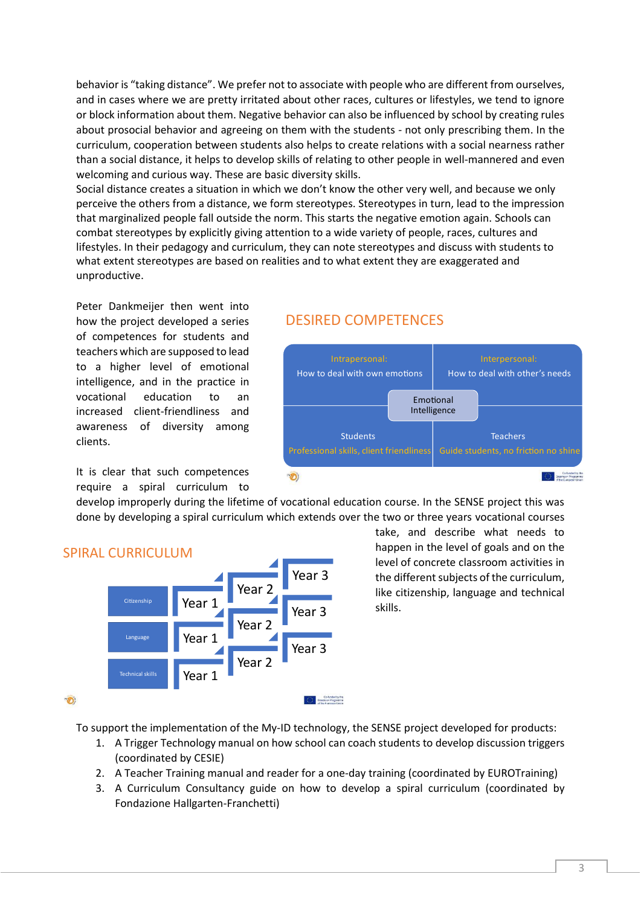behavior is "taking distance". We prefer not to associate with people who are different from ourselves, and in cases where we are pretty irritated about other races, cultures or lifestyles, we tend to ignore or block information about them. Negative behavior can also be influenced by school by creating rules about prosocial behavior and agreeing on them with the students - not only prescribing them. In the curriculum, cooperation between students also helps to create relations with a social nearness rather than a social distance, it helps to develop skills of relating to other people in well-mannered and even welcoming and curious way. These are basic diversity skills.

Social distance creates a situation in which we don't know the other very well, and because we only perceive the others from a distance, we form stereotypes. Stereotypes in turn, lead to the impression that marginalized people fall outside the norm. This starts the negative emotion again. Schools can combat stereotypes by explicitly giving attention to a wide variety of people, races, cultures and lifestyles. In their pedagogy and curriculum, they can note stereotypes and discuss with students to what extent stereotypes are based on realities and to what extent they are exaggerated and unproductive.

Peter Dankmeijer then went into how the project developed a series of competences for students and teachers which are supposed to lead to a higher level of emotional intelligence, and in the practice in vocational education to an increased client-friendliness and awareness of diversity among clients.

It is clear that such competences require a spiral curriculum to

## DESIRED COMPETENCES



develop improperly during the lifetime of vocational education course. In the SENSE project this was done by developing a spiral curriculum which extends over the two or three years vocational courses



SPIRAL CURRICULUM

take, and describe what needs to happen in the level of goals and on the level of concrete classroom activities in the different subjects of the curriculum, like citizenship, language and technical skills.

To support the implementation of the My-ID technology, the SENSE project developed for products:

- 1. A Trigger Technology manual on how school can coach students to develop discussion triggers (coordinated by CESIE)
- 2. A Teacher Training manual and reader for a one-day training (coordinated by EUROTraining)
- 3. A Curriculum Consultancy guide on how to develop a spiral curriculum (coordinated by Fondazione Hallgarten-Franchetti)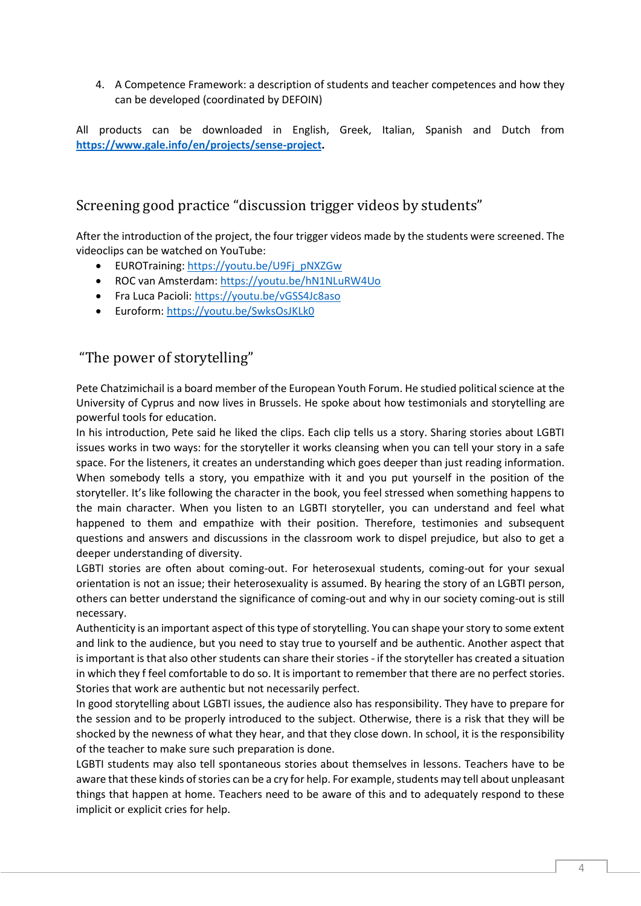4. A Competence Framework: a description of students and teacher competences and how they can be developed (coordinated by DEFOIN)

All products can be downloaded in English, Greek, Italian, Spanish and Dutch from **[https://www.gale.info/en/projects/sense-project.](https://www.gale.info/en/projects/sense-project)**

# Screening good practice "discussion trigger videos by students"

After the introduction of the project, the four trigger videos made by the students were screened. The videoclips can be watched on YouTube:

- EUROTraining: [https://youtu.be/U9Fj\\_pNXZGw](https://youtu.be/U9Fj_pNXZGw)
- ROC van Amsterdam[: https://youtu.be/hN1NLuRW4Uo](https://youtu.be/hN1NLuRW4Uo)
- Fra Luca Pacioli[: https://youtu.be/vGSS4Jc8aso](https://youtu.be/vGSS4Jc8aso)
- Euroform:<https://youtu.be/SwksOsJKLk0>

# "The power of storytelling"

Pete Chatzimichail is a board member of the European Youth Forum. He studied political science at the University of Cyprus and now lives in Brussels. He spoke about how testimonials and storytelling are powerful tools for education.

In his introduction, Pete said he liked the clips. Each clip tells us a story. Sharing stories about LGBTI issues works in two ways: for the storyteller it works cleansing when you can tell your story in a safe space. For the listeners, it creates an understanding which goes deeper than just reading information. When somebody tells a story, you empathize with it and you put yourself in the position of the storyteller. It's like following the character in the book, you feel stressed when something happens to the main character. When you listen to an LGBTI storyteller, you can understand and feel what happened to them and empathize with their position. Therefore, testimonies and subsequent questions and answers and discussions in the classroom work to dispel prejudice, but also to get a deeper understanding of diversity.

LGBTI stories are often about coming-out. For heterosexual students, coming-out for your sexual orientation is not an issue; their heterosexuality is assumed. By hearing the story of an LGBTI person, others can better understand the significance of coming-out and why in our society coming-out is still necessary.

Authenticity is an important aspect of this type of storytelling. You can shape your story to some extent and link to the audience, but you need to stay true to yourself and be authentic. Another aspect that is important is that also other students can share their stories - if the storyteller has created a situation in which they f feel comfortable to do so. It is important to remember that there are no perfect stories. Stories that work are authentic but not necessarily perfect.

In good storytelling about LGBTI issues, the audience also has responsibility. They have to prepare for the session and to be properly introduced to the subject. Otherwise, there is a risk that they will be shocked by the newness of what they hear, and that they close down. In school, it is the responsibility of the teacher to make sure such preparation is done.

LGBTI students may also tell spontaneous stories about themselves in lessons. Teachers have to be aware that these kinds of stories can be a cry for help. For example, students may tell about unpleasant things that happen at home. Teachers need to be aware of this and to adequately respond to these implicit or explicit cries for help.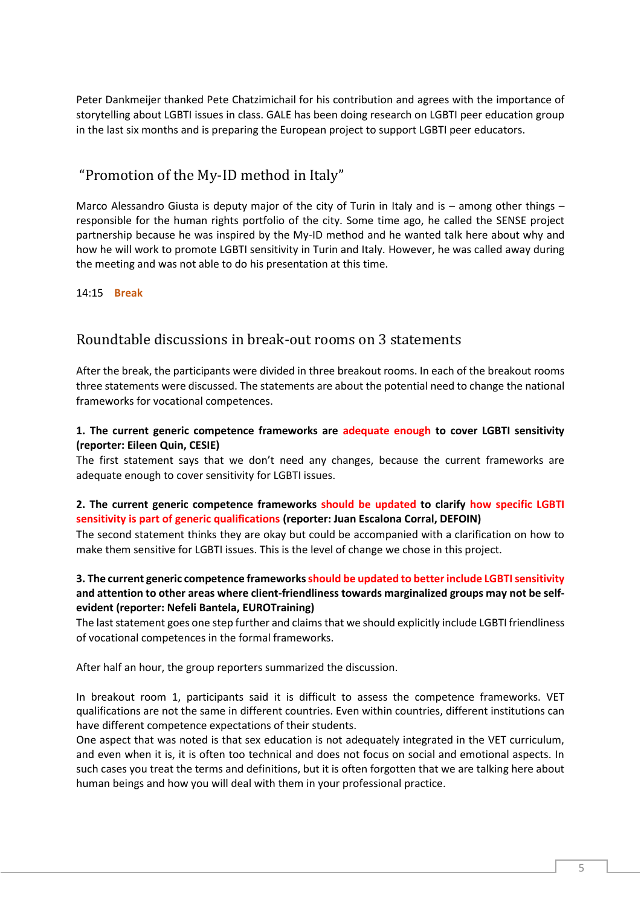Peter Dankmeijer thanked Pete Chatzimichail for his contribution and agrees with the importance of storytelling about LGBTI issues in class. GALE has been doing research on LGBTI peer education group in the last six months and is preparing the European project to support LGBTI peer educators.

# "Promotion of the My-ID method in Italy"

Marco Alessandro Giusta is deputy major of the city of Turin in Italy and is – among other things – responsible for the human rights portfolio of the city. Some time ago, he called the SENSE project partnership because he was inspired by the My-ID method and he wanted talk here about why and how he will work to promote LGBTI sensitivity in Turin and Italy. However, he was called away during the meeting and was not able to do his presentation at this time.

#### 14:15 **Break**

#### Roundtable discussions in break-out rooms on 3 statements

After the break, the participants were divided in three breakout rooms. In each of the breakout rooms three statements were discussed. The statements are about the potential need to change the national frameworks for vocational competences.

#### **1. The current generic competence frameworks are adequate enough to cover LGBTI sensitivity (reporter: Eileen Quin, CESIE)**

The first statement says that we don't need any changes, because the current frameworks are adequate enough to cover sensitivity for LGBTI issues.

#### **2. The current generic competence frameworks should be updated to clarify how specific LGBTI sensitivity is part of generic qualifications (reporter: Juan Escalona Corral, DEFOIN)**

The second statement thinks they are okay but could be accompanied with a clarification on how to make them sensitive for LGBTI issues. This is the level of change we chose in this project.

#### **3. The current generic competence frameworksshould be updated to better include LGBTI sensitivity and attention to other areas where client-friendliness towards marginalized groups may not be selfevident (reporter: Nefeli Bantela, EUROTraining)**

The last statement goes one step further and claims that we should explicitly include LGBTI friendliness of vocational competences in the formal frameworks.

After half an hour, the group reporters summarized the discussion.

In breakout room 1, participants said it is difficult to assess the competence frameworks. VET qualifications are not the same in different countries. Even within countries, different institutions can have different competence expectations of their students.

One aspect that was noted is that sex education is not adequately integrated in the VET curriculum, and even when it is, it is often too technical and does not focus on social and emotional aspects. In such cases you treat the terms and definitions, but it is often forgotten that we are talking here about human beings and how you will deal with them in your professional practice.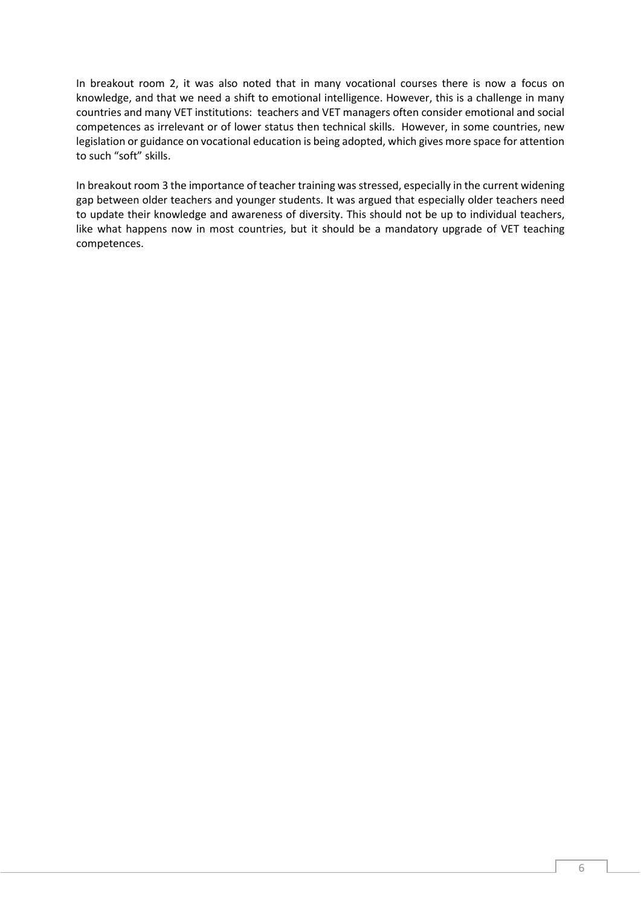In breakout room 2, it was also noted that in many vocational courses there is now a focus on knowledge, and that we need a shift to emotional intelligence. However, this is a challenge in many countries and many VET institutions: teachers and VET managers often consider emotional and social competences as irrelevant or of lower status then technical skills. However, in some countries, new legislation or guidance on vocational education is being adopted, which gives more space for attention to such "soft" skills.

In breakout room 3 the importance of teacher training was stressed, especially in the current widening gap between older teachers and younger students. It was argued that especially older teachers need to update their knowledge and awareness of diversity. This should not be up to individual teachers, like what happens now in most countries, but it should be a mandatory upgrade of VET teaching competences.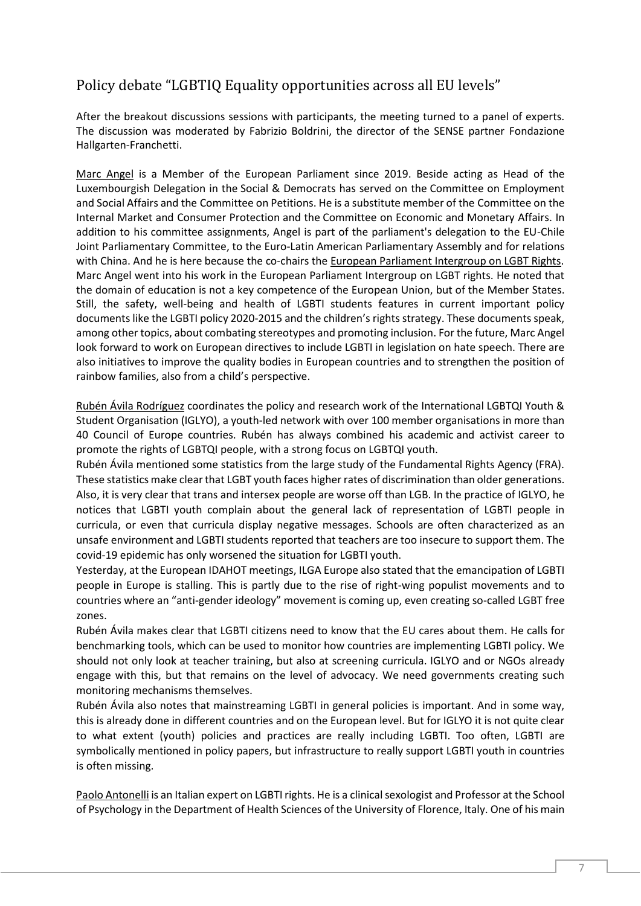# Policy debate "LGBTIQ Equality opportunities across all EU levels"

After the breakout discussions sessions with participants, the meeting turned to a panel of experts. The discussion was moderated by Fabrizio Boldrini, the director of the SENSE partner Fondazione Hallgarten-Franchetti.

Marc Angel is a Member of the European Parliament since 2019. Beside acting as Head of the Luxembourgish Delegation in the Social & Democrats has served on the Committee on Employment and Social Affairs and the Committee on Petitions. He is a substitute member of the Committee on the Internal Market and Consumer Protection and the Committee on Economic and Monetary Affairs. In addition to his committee assignments, Angel is part of the parliament's delegation to the EU-Chile Joint Parliamentary Committee, to the Euro-Latin American Parliamentary Assembly and for relations with [China.](https://en.wikipedia.org/wiki/China) And he is here because the co-chairs the [European Parliament Intergroup on LGBT Rights.](https://en.wikipedia.org/wiki/European_Parliament_Intergroup_on_LGBT_Rights) Marc Angel went into his work in the European Parliament Intergroup on LGBT rights. He noted that the domain of education is not a key competence of the European Union, but of the Member States. Still, the safety, well-being and health of LGBTI students features in current important policy documents like the LGBTI policy 2020-2015 and the children's rights strategy. These documents speak, among other topics, about combating stereotypes and promoting inclusion. For the future, Marc Angel look forward to work on European directives to include LGBTI in legislation on hate speech. There are also initiatives to improve the quality bodies in European countries and to strengthen the position of rainbow families, also from a child's perspective.

Rubén Ávila Rodríguez coordinates the policy and research work of the International LGBTQI Youth & Student Organisation (IGLYO), a youth-led network with over 100 member organisations in more than 40 Council of Europe countries. Rubén has always combined his academic and activist career to promote the rights of LGBTQI people, with a strong focus on LGBTQI youth.

Rubén Ávila mentioned some statistics from the large study of the Fundamental Rights Agency (FRA). These statistics make clear that LGBT youth faces higher rates of discrimination than older generations. Also, it is very clear that trans and intersex people are worse off than LGB. In the practice of IGLYO, he notices that LGBTI youth complain about the general lack of representation of LGBTI people in curricula, or even that curricula display negative messages. Schools are often characterized as an unsafe environment and LGBTI students reported that teachers are too insecure to support them. The covid-19 epidemic has only worsened the situation for LGBTI youth.

Yesterday, at the European IDAHOT meetings, ILGA Europe also stated that the emancipation of LGBTI people in Europe is stalling. This is partly due to the rise of right-wing populist movements and to countries where an "anti-gender ideology" movement is coming up, even creating so-called LGBT free zones.

Rubén Ávila makes clear that LGBTI citizens need to know that the EU cares about them. He calls for benchmarking tools, which can be used to monitor how countries are implementing LGBTI policy. We should not only look at teacher training, but also at screening curricula. IGLYO and or NGOs already engage with this, but that remains on the level of advocacy. We need governments creating such monitoring mechanisms themselves.

Rubén Ávila also notes that mainstreaming LGBTI in general policies is important. And in some way, this is already done in different countries and on the European level. But for IGLYO it is not quite clear to what extent (youth) policies and practices are really including LGBTI. Too often, LGBTI are symbolically mentioned in policy papers, but infrastructure to really support LGBTI youth in countries is often missing.

Paolo Antonelli is an Italian expert on LGBTI rights. He is a clinical sexologist and Professor at the School of Psychology in the Department of Health Sciences of the University of Florence, Italy. One of his main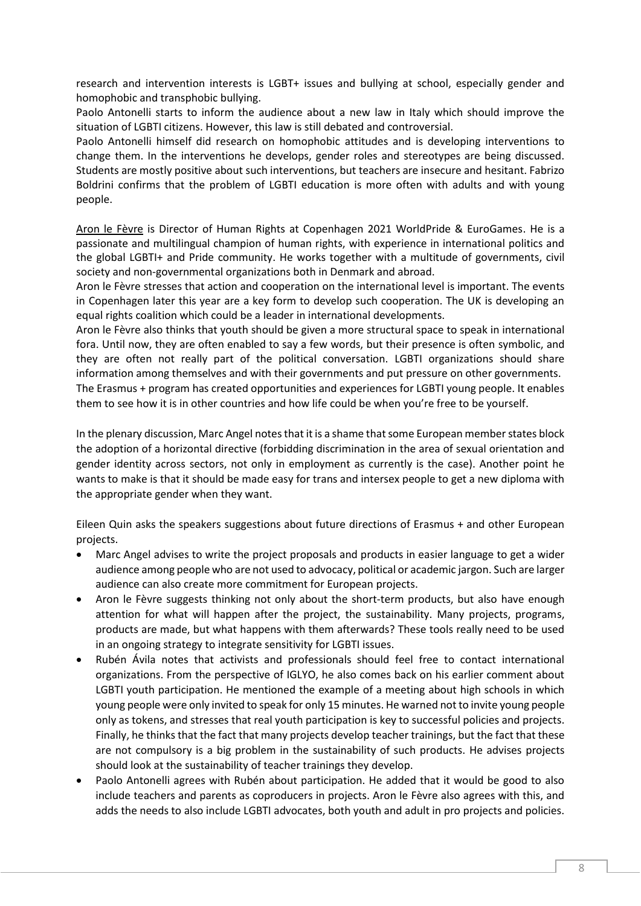research and intervention interests is LGBT+ issues and bullying at school, especially gender and homophobic and transphobic bullying.

Paolo Antonelli starts to inform the audience about a new law in Italy which should improve the situation of LGBTI citizens. However, this law is still debated and controversial.

Paolo Antonelli himself did research on homophobic attitudes and is developing interventions to change them. In the interventions he develops, gender roles and stereotypes are being discussed. Students are mostly positive about such interventions, but teachers are insecure and hesitant. Fabrizo Boldrini confirms that the problem of LGBTI education is more often with adults and with young people.

Aron le Fèvre is Director of Human Rights at Copenhagen 2021 WorldPride & EuroGames. He is a passionate and multilingual champion of human rights, with experience in international politics and the global LGBTI+ and Pride community. He works together with a multitude of governments, civil society and non-governmental organizations both in Denmark and abroad.

Aron le Fèvre stresses that action and cooperation on the international level is important. The events in Copenhagen later this year are a key form to develop such cooperation. The UK is developing an equal rights coalition which could be a leader in international developments.

Aron le Fèvre also thinks that youth should be given a more structural space to speak in international fora. Until now, they are often enabled to say a few words, but their presence is often symbolic, and they are often not really part of the political conversation. LGBTI organizations should share information among themselves and with their governments and put pressure on other governments. The Erasmus + program has created opportunities and experiences for LGBTI young people. It enables

them to see how it is in other countries and how life could be when you're free to be yourself.

In the plenary discussion, Marc Angel notes that it is a shame that some European member states block the adoption of a horizontal directive (forbidding discrimination in the area of sexual orientation and gender identity across sectors, not only in employment as currently is the case). Another point he wants to make is that it should be made easy for trans and intersex people to get a new diploma with the appropriate gender when they want.

Eileen Quin asks the speakers suggestions about future directions of Erasmus + and other European projects.

- Marc Angel advises to write the project proposals and products in easier language to get a wider audience among people who are not used to advocacy, political or academic jargon. Such are larger audience can also create more commitment for European projects.
- Aron le Fèvre suggests thinking not only about the short-term products, but also have enough attention for what will happen after the project, the sustainability. Many projects, programs, products are made, but what happens with them afterwards? These tools really need to be used in an ongoing strategy to integrate sensitivity for LGBTI issues.
- Rubén Ávila notes that activists and professionals should feel free to contact international organizations. From the perspective of IGLYO, he also comes back on his earlier comment about LGBTI youth participation. He mentioned the example of a meeting about high schools in which young people were only invited to speak for only 15 minutes. He warned not to invite young people only as tokens, and stresses that real youth participation is key to successful policies and projects. Finally, he thinks that the fact that many projects develop teacher trainings, but the fact that these are not compulsory is a big problem in the sustainability of such products. He advises projects should look at the sustainability of teacher trainings they develop.
- Paolo Antonelli agrees with Rubén about participation. He added that it would be good to also include teachers and parents as coproducers in projects. Aron le Fèvre also agrees with this, and adds the needs to also include LGBTI advocates, both youth and adult in pro projects and policies.